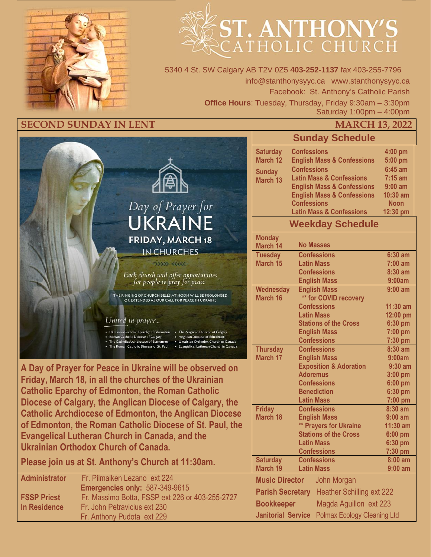

# **ST. ANTHONY'S**

5340 4 St. SW Calgary AB T2V 0Z5 **403-252-1137** fax 403-255-7796 info@stanthonysyyc.ca www.stanthonysyyc.ca Facebook: St. Anthony's Catholic Parish **Office Hours**: Tuesday, Thursday, Friday 9:30am – 3:30pm Saturday 1:00pm – 4:00pm

## **SECOND SUNDAY IN LENT MARCH 13, 2022**



**A Day of Prayer for Peace in Ukraine will be observed on Friday, March 18, in all the churches of the Ukrainian Catholic Eparchy of Edmonton, the Roman Catholic Diocese of Calgary, the Anglican Diocese of Calgary, the Catholic Archdiocese of Edmonton, the Anglican Diocese of Edmonton, the Roman Catholic Diocese of St. Paul, the Evangelical Lutheran Church in Canada, and the Ukrainian Orthodox Church of Canada.**

**Please join us at St. Anthony's Church at 11:30am.** 

| <b>Administrator</b> | Fr. Pilmaiken Lezano ext 224                    |
|----------------------|-------------------------------------------------|
|                      | Emergencies only: 587-349-9615                  |
| <b>FSSP Priest</b>   | Fr. Massimo Botta, FSSP ext 226 or 403-255-2727 |
| In Residence         | Fr. John Petravicius ext 230                    |
|                      | Fr. Anthony Pudota ext 229                      |

|                                                                 | <b>Sunday Schedule</b>                                        |                     |  |
|-----------------------------------------------------------------|---------------------------------------------------------------|---------------------|--|
| <b>Saturday</b>                                                 | <b>Confessions</b>                                            | 4:00 pm             |  |
| March 12                                                        | <b>English Mass &amp; Confessions</b>                         | 5:00 pm             |  |
| <b>Sunday</b>                                                   | <b>Confessions</b>                                            | $6:45$ am           |  |
| March 13                                                        | <b>Latin Mass &amp; Confessions</b>                           | $7:15$ am           |  |
|                                                                 | <b>English Mass &amp; Confessions</b>                         | $9:00$ am           |  |
|                                                                 | <b>English Mass &amp; Confessions</b>                         | 10:30 am            |  |
|                                                                 | <b>Confessions</b>                                            | <b>Noon</b>         |  |
|                                                                 | <b>Latin Mass &amp; Confessions</b>                           | 12:30 pm            |  |
|                                                                 | <b>Weekday Schedule</b>                                       |                     |  |
| <b>Monday</b><br>March 14                                       | <b>No Masses</b>                                              |                     |  |
| <b>Tuesday</b>                                                  | <b>Confessions</b>                                            | $6:30$ am           |  |
| March 15                                                        | <b>Latin Mass</b>                                             | $7:00$ am           |  |
|                                                                 | <b>Confessions</b>                                            | $8:30$ am           |  |
|                                                                 | <b>English Mass</b>                                           | 9:00am              |  |
| Wednesday                                                       | <b>English Mass</b>                                           | $9:00$ am           |  |
| <b>March 16</b>                                                 | ** for COVID recovery<br><b>Confessions</b>                   | $11:30$ am          |  |
|                                                                 | <b>Latin Mass</b>                                             | 12:00 pm            |  |
|                                                                 | <b>Stations of the Cross</b>                                  | 6:30 pm             |  |
|                                                                 | <b>English Mass</b>                                           | 7:00 pm             |  |
|                                                                 | <b>Confessions</b>                                            | 7:30 pm             |  |
| <b>Thursday</b>                                                 | <b>Confessions</b>                                            | 8:30 am             |  |
| <b>March 17</b>                                                 | <b>English Mass</b>                                           | 9:00am              |  |
|                                                                 | <b>Exposition &amp; Adoration</b>                             | $9:30$ am           |  |
|                                                                 | <b>Adoremus</b>                                               | 3:00 pm             |  |
|                                                                 | <b>Confessions</b>                                            | 6:00 pm             |  |
|                                                                 | <b>Benediction</b>                                            | 6:30 pm             |  |
|                                                                 | <b>Latin Mass</b>                                             | 7:00 pm             |  |
| <b>Friday</b>                                                   | <b>Confessions</b>                                            | 8:30 am             |  |
| <b>March 18</b>                                                 | <b>English Mass</b>                                           | $9:00$ am           |  |
|                                                                 | <b>** Prayers for Ukraine</b><br><b>Stations of the Cross</b> | 11:30 am<br>6:00 pm |  |
|                                                                 | <b>Latin Mass</b>                                             | $6:30$ pm           |  |
|                                                                 | <b>Confessions</b>                                            | 7:30 pm             |  |
| <b>Saturday</b>                                                 | <b>Confessions</b>                                            | $8:00$ am           |  |
| March 19                                                        | <b>Latin Mass</b>                                             | $9:00$ am           |  |
| <b>Music Director</b>                                           | John Morgan                                                   |                     |  |
| <b>Heather Schilling ext 222</b><br><b>Parish Secretary</b>     |                                                               |                     |  |
| Magda Aguillon ext 223<br><b>Bookkeeper</b>                     |                                                               |                     |  |
| <b>Janitorial Service</b><br><b>Polmax Ecology Cleaning Ltd</b> |                                                               |                     |  |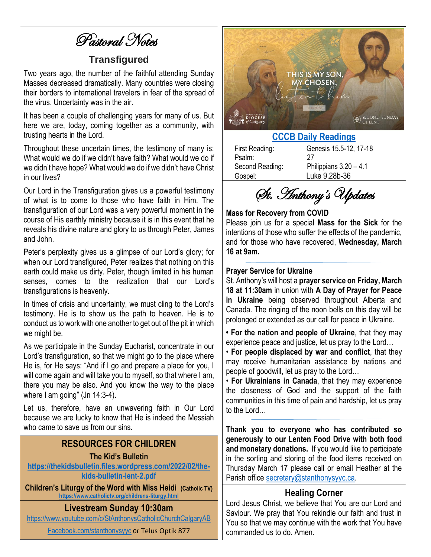Pastoral Notes

# **Transfigured**

Two years ago, the number of the faithful attending Sunday Masses decreased dramatically. Many countries were closing their borders to international travelers in fear of the spread of the virus. Uncertainty was in the air.

It has been a couple of challenging years for many of us. But here we are, today, coming together as a community, with trusting hearts in the Lord.

Throughout these uncertain times, the testimony of many is: What would we do if we didn't have faith? What would we do if we didn't have hope? What would we do if we didn't have Christ in our lives?

Our Lord in the Transfiguration gives us a powerful testimony of what is to come to those who have faith in Him. The transfiguration of our Lord was a very powerful moment in the course of His earthly ministry because it is in this event that he reveals his divine nature and glory to us through Peter, James and John.

Peter's perplexity gives us a glimpse of our Lord's glory; for when our Lord transfigured, Peter realizes that nothing on this earth could make us dirty. Peter, though limited in his human senses, comes to the realization that our Lord's transfigurations is heavenly.

In times of crisis and uncertainty, we must cling to the Lord's testimony. He is to show us the path to heaven. He is to conduct us to work with one another to get out of the pit in which we might be.

As we participate in the Sunday Eucharist, concentrate in our Lord's transfiguration, so that we might go to the place where He is, for He says: "And if I go and prepare a place for you, I will come again and will take you to myself, so that where I am, there you may be also. And you know the way to the place where I am going" (Jn 14:3-4).

Let us, therefore, have an unwavering faith in Our Lord because we are lucky to know that He is indeed the Messiah who came to save us from our sins.

## **RESOURCES FOR CHILDREN**

### **The Kid's Bulletin**

**[https://thekidsbulletin.files.wordpress.com/2022/02/the](https://thekidsbulletin.files.wordpress.com/2022/02/the-kids-bulletin-lent-2.pdf)[kids-bulletin-lent-2.pdf](https://thekidsbulletin.files.wordpress.com/2022/02/the-kids-bulletin-lent-2.pdf)**

**Children's Liturgy of the Word with Miss Heidi (Catholic TV) <https://www.catholictv.org/childrens-liturgy.html>**

## **Livestream Sunday 10:30am**

<https://www.youtube.com/c/StAnthonysCatholicChurchCalgaryAB>

[Facebook.com/stanthonysyyc](https://www.facebook.com/stanthonysyyc/) or Telus Optik 877



## **[CCCB Daily Readings](http://ec2-34-245-7-114.eu-west-1.compute.amazonaws.com/daily-texts/reading/2022-03-13)**

Psalm: 27

First Reading: Genesis 15.5-12, 17-18 Second Reading: Philippians 3.20 – 4.1 Gospel: Luke 9.28b-36

St. Anthony's Updates

### **Mass for Recovery from COVID**

Please join us for a special **Mass for the Sick** for the intentions of those who suffer the effects of the pandemic, and for those who have recovered, **Wednesday, March 16 at 9am.** 

### **Prayer Service for Ukraine**

St. Anthony's will host a **prayer service on Friday, March 18 at 11:30am** in union with **A Day of Prayer for Peace in Ukraine** being observed throughout Alberta and Canada. The ringing of the noon bells on this day will be prolonged or extended as our call for peace in Ukraine.

**• For the nation and people of Ukraine**, that they may experience peace and justice, let us pray to the Lord…

• **For people displaced by war and conflict**, that they may receive humanitarian assistance by nations and people of goodwill, let us pray to the Lord…

• **For Ukrainians in Canada**, that they may experience the closeness of God and the support of the faith communities in this time of pain and hardship, let us pray to the Lord…

**Thank you to everyone who has contributed so generously to our Lenten Food Drive with both food and monetary donations.** If you would like to participate in the sorting and storing of the food items received on Thursday March 17 please call or email Heather at the Parish office [secretary@stanthonysyyc.ca.](mailto:secretary@stanthonysyyc.ca)

## **Healing Corner**

Lord Jesus Christ, we believe that You are our Lord and Saviour. We pray that You rekindle our faith and trust in You so that we may continue with the work that You have commanded us to do. Amen.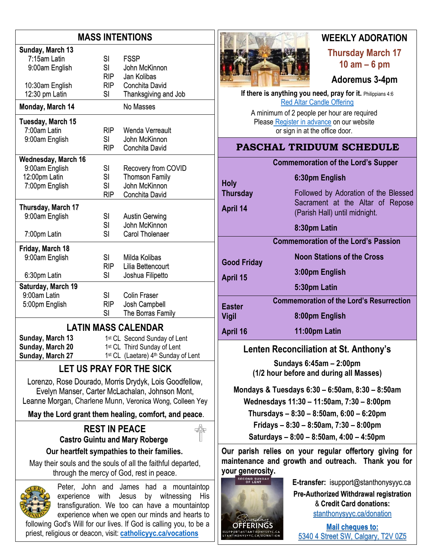# **MASS INTENTIONS**

| Sunday, March 13           |            |                       |  |  |
|----------------------------|------------|-----------------------|--|--|
| 7:15am Latin               | <b>SI</b>  | <b>FSSP</b>           |  |  |
| 9:00am English             | SI         | John McKinnon         |  |  |
|                            | <b>RIP</b> | Jan Kolibas           |  |  |
| 10:30am English            | <b>RIP</b> | Conchita David        |  |  |
| 12:30 pm Latin             | SI         | Thanksgiving and Job  |  |  |
| Monday, March 14           |            | No Masses             |  |  |
| Tuesday, March 15          |            |                       |  |  |
| 7:00am Latin               | <b>RIP</b> | Wenda Verreault       |  |  |
| 9:00am English             | SI         | John McKinnon         |  |  |
|                            | <b>RIP</b> | Conchita David        |  |  |
| <b>Wednesday, March 16</b> |            |                       |  |  |
| 9:00am English             | SI         | Recovery from COVID   |  |  |
| 12:00pm Latin              | SI         | <b>Thomson Family</b> |  |  |
| 7:00pm English             | SI         | John McKinnon         |  |  |
|                            | <b>RIP</b> | Conchita David        |  |  |
| Thursday, March 17         |            |                       |  |  |
| 9:00am English             | SI         | <b>Austin Gerwing</b> |  |  |
|                            | SI         | John McKinnon         |  |  |
| 7:00pm Latin               | SI         | Carol Tholenaer       |  |  |
| Friday, March 18           |            |                       |  |  |
| 9:00am English             | SI         | Milda Kolibas         |  |  |
|                            | <b>RIP</b> | Lilia Bettencourt     |  |  |
| 6:30pm Latin               | SI         | Joshua Filipetto      |  |  |
| Saturday, March 19         |            |                       |  |  |
| 9:00am Latin               | SI         | <b>Colin Fraser</b>   |  |  |
| 5:00pm English             | <b>RIP</b> | Josh Campbell         |  |  |
|                            | SI         | The Borras Family     |  |  |
| <b>LATIN MASS CALENDAR</b> |            |                       |  |  |

**Sunday, March 13 Sunday, March 20 Sunday, March 27**

1st CL Second Sunday of Lent 1 st CL Third Sunday of Lent 1<sup>st</sup> CL (Laetare) 4<sup>th</sup> Sunday of Lent

# **LET US PRAY FOR THE SICK**

Lorenzo, Rose Dourado, Morris Drydyk, Lois Goodfellow, Evelyn Manser, Carter McLachalan, Johnson Mont, Leanne Morgan, Charlene Munn, Veronica Wong, Colleen Yey

**May the Lord grant them healing, comfort, and peace**.

# **REST IN PEACE Castro Guintu and Mary Roberge**

**Our heartfelt sympathies to their families.**

May their souls and the souls of all the faithful departed, through the mercy of God, rest in peace.



Peter, John and James had a mountaintop experience with Jesus by witnessing His transfiguration. We too can have a mountaintop experience when we open our minds and hearts to

following God's Will for our lives. If God is calling you, to be a priest, religious or deacon, visit: **[catholicyyc.ca/vocations](http://www.catholicyyc.ca/vocations)**



# **WEEKLY ADORATION**

**Thursday March 17 10 am – 6 pm**

## **Adoremus 3-4pm**

**If there is anything you need, pray for it. Philippians 4:6** [Red Altar Candle Offering](https://stanthonysyyc.ca/wp-content/uploads/2020/10/RED-ALTAR-CANDLE-OFFERING.pdf)

A minimum of 2 people per hour are required Please Register [in advance](https://volunteersignup.org/EXBPK) on our website or sign in at the office door.

# **PASCHAL TRIDUUM SCHEDULE**

**6:30pm English**

## **Commemoration of the Lord's Supper**

(Parish Hall) until midnight.

Followed by Adoration of the Blessed Sacrament at the Altar of Repose

**Holy Thursday April 14**

|                                | 8:30pm Latin                                    |
|--------------------------------|-------------------------------------------------|
|                                | <b>Commemoration of the Lord's Passion</b>      |
| <b>Good Friday</b><br>April 15 | <b>Noon Stations of the Cross</b>               |
|                                | 3:00pm English                                  |
|                                | 5:30pm Latin                                    |
| <b>Easter</b><br>Vigil         | <b>Commemoration of the Lord's Resurrection</b> |
|                                | 8:00pm English                                  |
| April 16                       | 11:00pm Latin                                   |

## **Lenten Reconciliation at St. Anthony's**

**Sundays 6:45am – 2:00pm (1/2 hour before and during all Masses)**

**Mondays & Tuesdays 6:30 – 6:50am, 8:30 – 8:50am**

**Wednesdays 11:30 – 11:50am, 7:30 – 8:00pm**

**Thursdays – 8:30 – 8:50am, 6:00 – 6:20pm**

**Fridays – 8:30 – 8:50am, 7:30 – 8:00pm**

**Saturdays – 8:00 – 8:50am, 4:00 – 4:50pm**

**Our parish relies on your regular offertory giving for maintenance and growth and outreach. Thank you for your generosity.** 



**E-transfer:** isupport@stanthonysyyc.ca

**Pre-Authorized Withdrawal registration**  & **Credit Card donations:** [stanthonysyyc.ca/donation](https://stanthonysyyc.ca/donation/)

**Mail cheques to:** 5340 4 Street SW, Calgary, T2V 0Z5